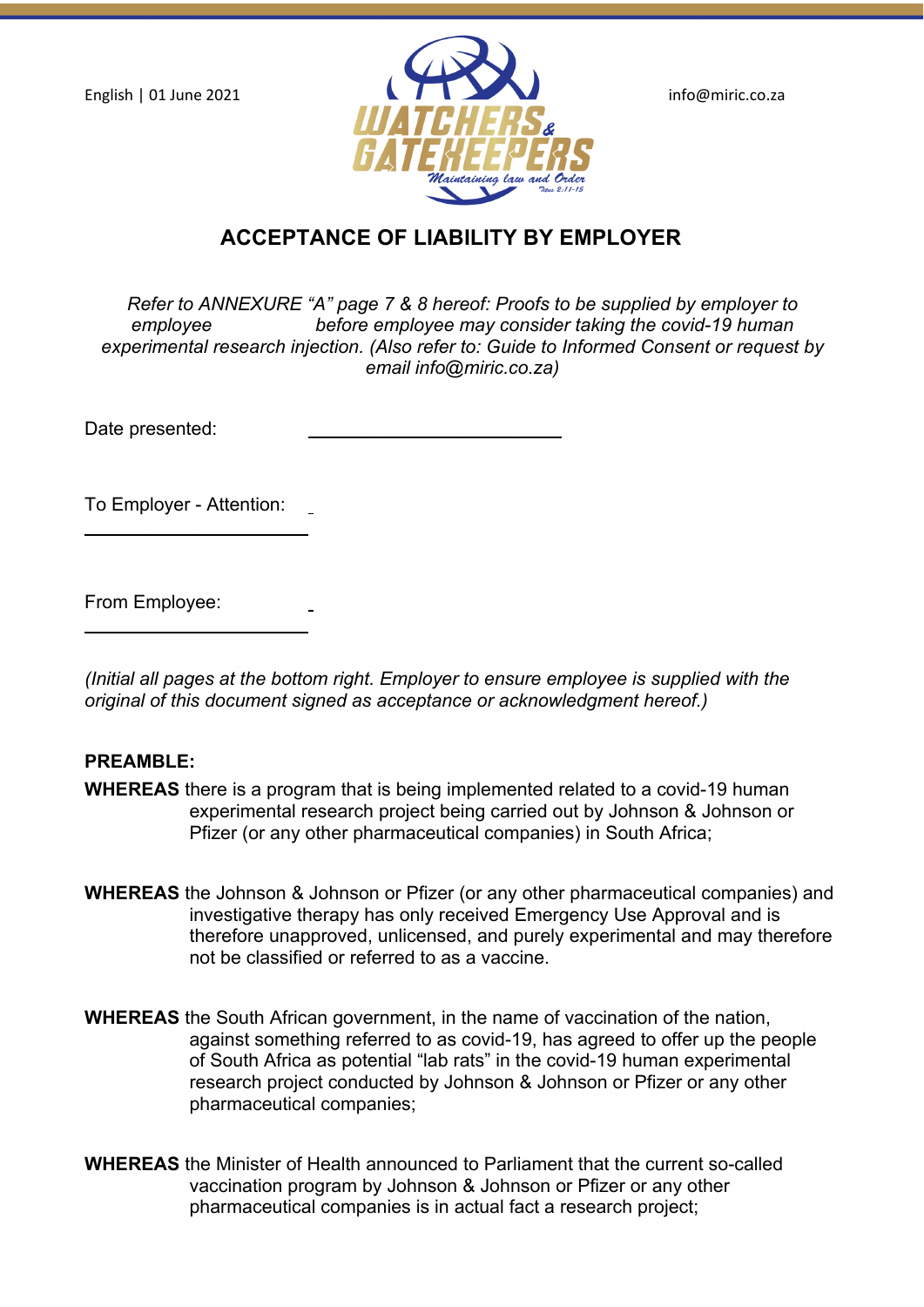

# **ACCEPTANCE OF LIABILITY BY EMPLOYER**

*Refer to ANNEXURE "A" page 7 & 8 hereof: Proofs to be supplied by employer to employee before employee may consider taking the covid-19 human experimental research injection. (Also refer to: Guide to Informed Consent or request by email info@miric.co.za)*

Date presented:

To Employer - Attention:

From Employee:

*(Initial all pages at the bottom right. Employer to ensure employee is supplied with the original of this document signed as acceptance or acknowledgment hereof.)*

#### **PREAMBLE:**

- **WHEREAS** there is a program that is being implemented related to a covid-19 human experimental research project being carried out by Johnson & Johnson or Pfizer (or any other pharmaceutical companies) in South Africa;
- **WHEREAS** the Johnson & Johnson or Pfizer (or any other pharmaceutical companies) and investigative therapy has only received Emergency Use Approval and is therefore unapproved, unlicensed, and purely experimental and may therefore not be classified or referred to as a vaccine.
- **WHEREAS** the South African government, in the name of vaccination of the nation, against something referred to as covid-19, has agreed to offer up the people of South Africa as potential "lab rats" in the covid-19 human experimental research project conducted by Johnson & Johnson or Pfizer or any other pharmaceutical companies;
- **WHEREAS** the Minister of Health announced to Parliament that the current so-called vaccination program by Johnson & Johnson or Pfizer or any other pharmaceutical companies is in actual fact a research project;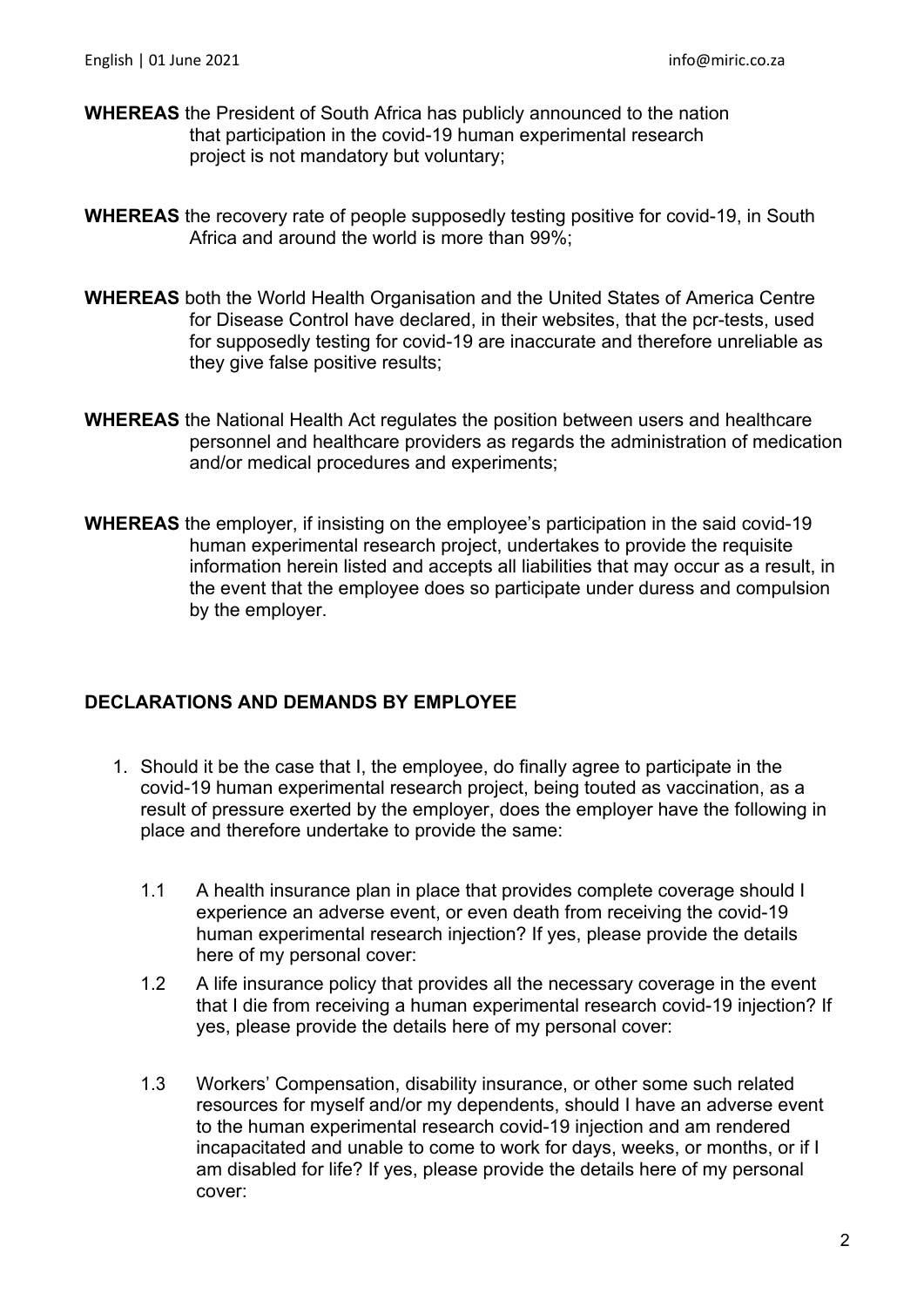- **WHEREAS** the President of South Africa has publicly announced to the nation that participation in the covid-19 human experimental research project is not mandatory but voluntary;
- **WHEREAS** the recovery rate of people supposedly testing positive for covid-19, in South Africa and around the world is more than 99%;
- **WHEREAS** both the World Health Organisation and the United States of America Centre for Disease Control have declared, in their websites, that the pcr-tests, used for supposedly testing for covid-19 are inaccurate and therefore unreliable as they give false positive results;
- **WHEREAS** the National Health Act regulates the position between users and healthcare personnel and healthcare providers as regards the administration of medication and/or medical procedures and experiments;
- **WHEREAS** the employer, if insisting on the employee's participation in the said covid-19 human experimental research project, undertakes to provide the requisite information herein listed and accepts all liabilities that may occur as a result, in the event that the employee does so participate under duress and compulsion by the employer.

## **DECLARATIONS AND DEMANDS BY EMPLOYEE**

- 1. Should it be the case that I, the employee, do finally agree to participate in the covid-19 human experimental research project, being touted as vaccination, as a result of pressure exerted by the employer, does the employer have the following in place and therefore undertake to provide the same:
	- 1.1 A health insurance plan in place that provides complete coverage should I experience an adverse event, or even death from receiving the covid-19 human experimental research injection? If yes, please provide the details here of my personal cover:
	- 1.2 A life insurance policy that provides all the necessary coverage in the event that I die from receiving a human experimental research covid-19 injection? If yes, please provide the details here of my personal cover:
	- 1.3 Workers' Compensation, disability insurance, or other some such related resources for myself and/or my dependents, should I have an adverse event to the human experimental research covid-19 injection and am rendered incapacitated and unable to come to work for days, weeks, or months, or if I am disabled for life? If yes, please provide the details here of my personal cover: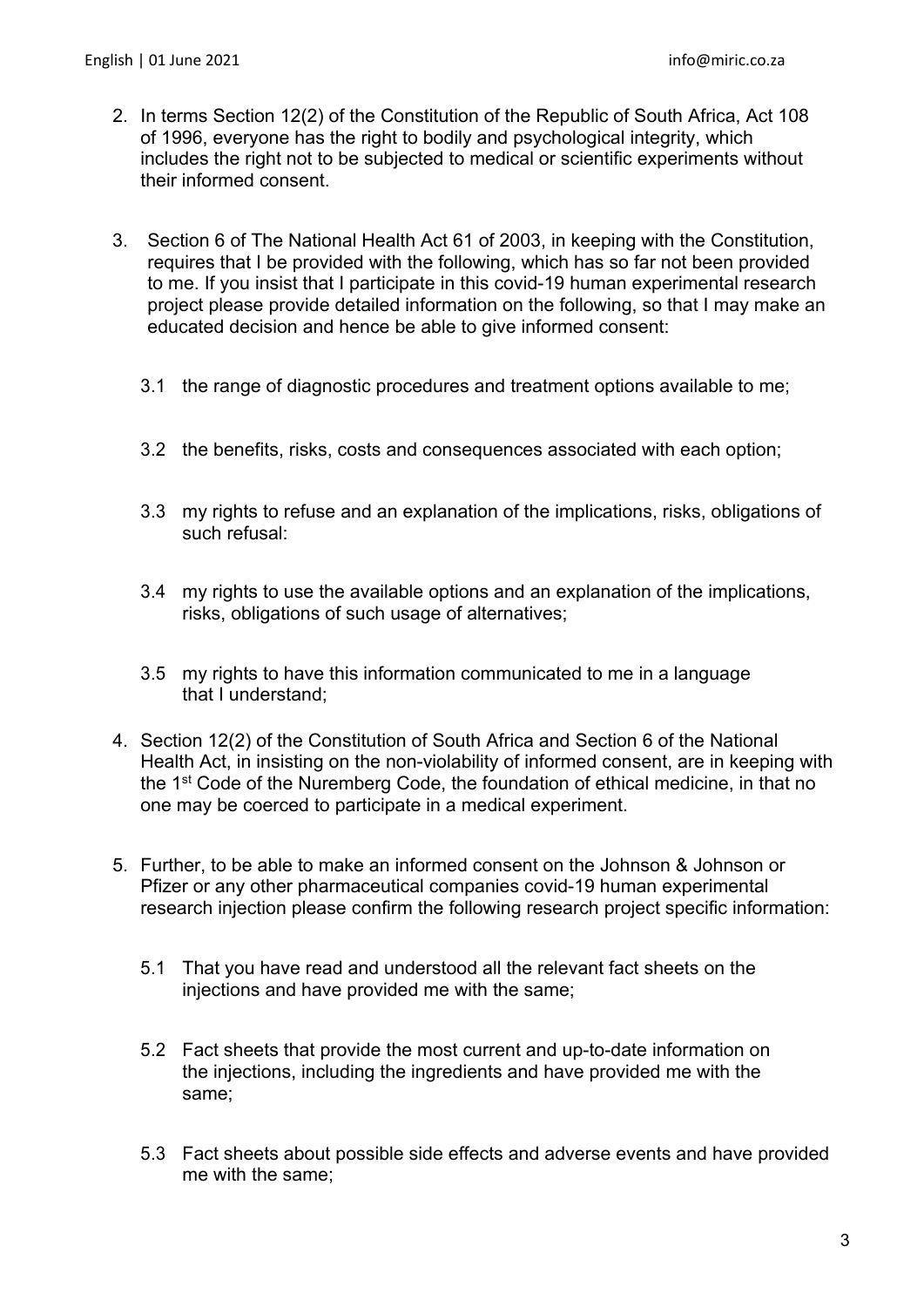- 2. In terms Section 12(2) of the Constitution of the Republic of South Africa, Act 108 of 1996, everyone has the right to bodily and psychological integrity, which includes the right not to be subjected to medical or scientific experiments without their informed consent.
- 3. Section 6 of The National Health Act 61 of 2003, in keeping with the Constitution, requires that I be provided with the following, which has so far not been provided to me. If you insist that I participate in this covid-19 human experimental research project please provide detailed information on the following, so that I may make an educated decision and hence be able to give informed consent:
	- 3.1 the range of diagnostic procedures and treatment options available to me;
	- 3.2 the benefits, risks, costs and consequences associated with each option;
	- 3.3 my rights to refuse and an explanation of the implications, risks, obligations of such refusal:
	- 3.4 my rights to use the available options and an explanation of the implications, risks, obligations of such usage of alternatives;
	- 3.5 my rights to have this information communicated to me in a language that I understand;
- 4. Section 12(2) of the Constitution of South Africa and Section 6 of the National Health Act, in insisting on the non-violability of informed consent, are in keeping with the 1st Code of the Nuremberg Code, the foundation of ethical medicine, in that no one may be coerced to participate in a medical experiment.
- 5. Further, to be able to make an informed consent on the Johnson & Johnson or Pfizer or any other pharmaceutical companies covid-19 human experimental research injection please confirm the following research project specific information:
	- 5.1 That you have read and understood all the relevant fact sheets on the injections and have provided me with the same;
	- 5.2 Fact sheets that provide the most current and up-to-date information on the injections, including the ingredients and have provided me with the same;
	- 5.3 Fact sheets about possible side effects and adverse events and have provided me with the same;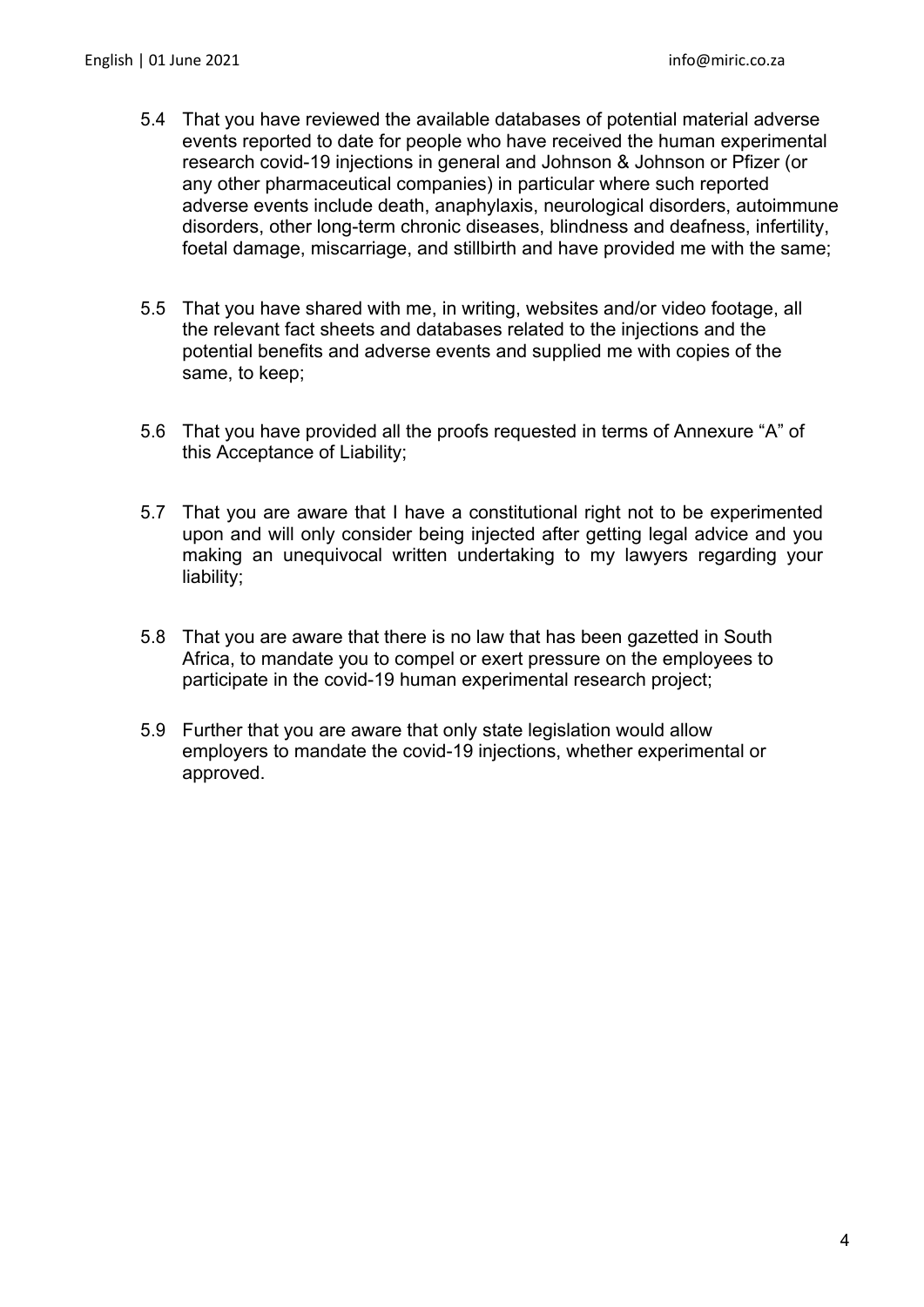- 5.4 That you have reviewed the available databases of potential material adverse events reported to date for people who have received the human experimental research covid-19 injections in general and Johnson & Johnson or Pfizer (or any other pharmaceutical companies) in particular where such reported adverse events include death, anaphylaxis, neurological disorders, autoimmune disorders, other long-term chronic diseases, blindness and deafness, infertility, foetal damage, miscarriage, and stillbirth and have provided me with the same;
- 5.5 That you have shared with me, in writing, websites and/or video footage, all the relevant fact sheets and databases related to the injections and the potential benefits and adverse events and supplied me with copies of the same, to keep;
- 5.6 That you have provided all the proofs requested in terms of Annexure "A" of this Acceptance of Liability;
- 5.7 That you are aware that I have a constitutional right not to be experimented upon and will only consider being injected after getting legal advice and you making an unequivocal written undertaking to my lawyers regarding your liability;
- 5.8 That you are aware that there is no law that has been gazetted in South Africa, to mandate you to compel or exert pressure on the employees to participate in the covid-19 human experimental research project;
- 5.9 Further that you are aware that only state legislation would allow employers to mandate the covid-19 injections, whether experimental or approved.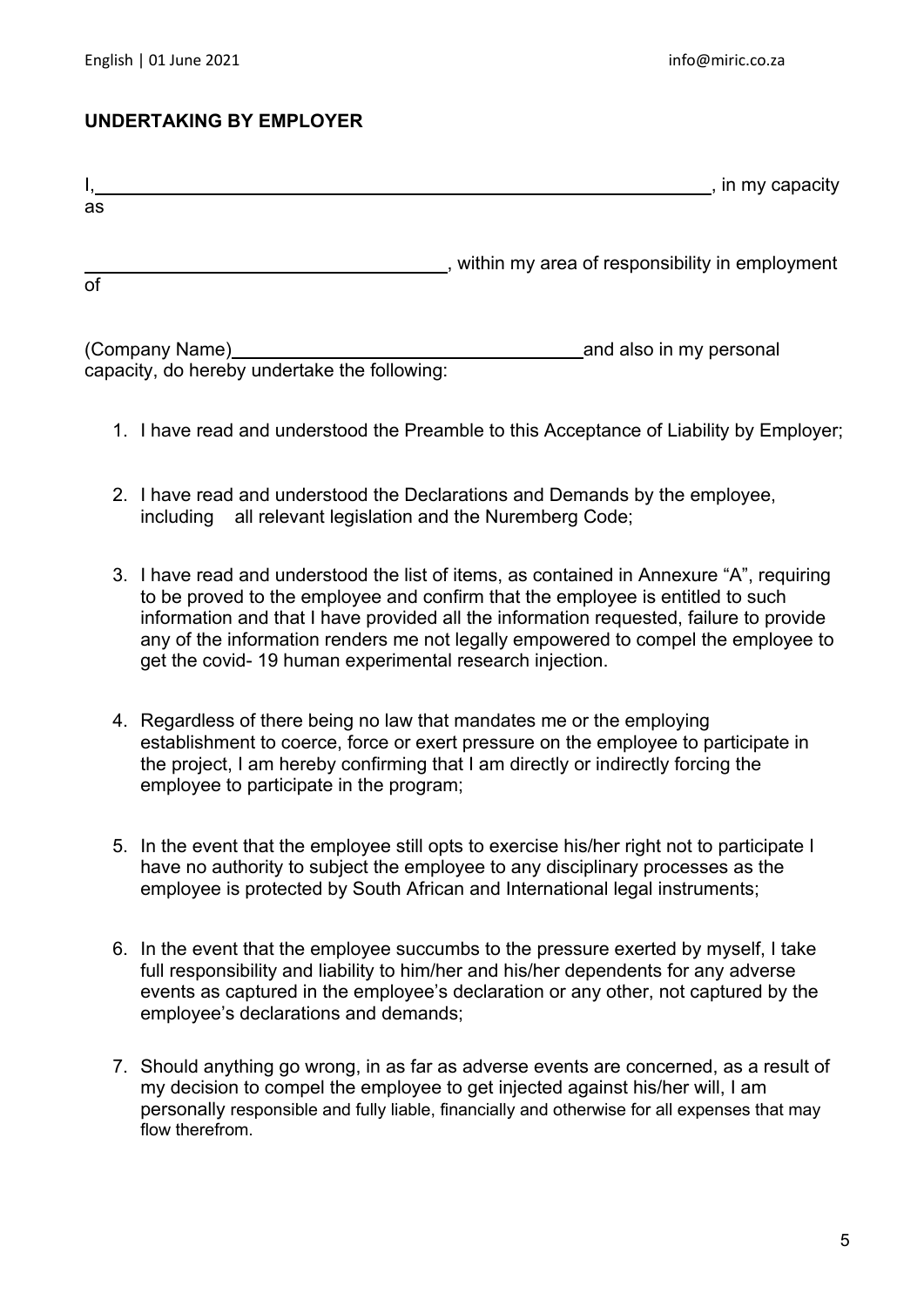## **UNDERTAKING BY EMPLOYER**

|    | , in my capacity                               |
|----|------------------------------------------------|
| as |                                                |
| of | within my area of responsibility in employment |

(Company Name) and also in my personal capacity, do hereby undertake the following:

- 1. I have read and understood the Preamble to this Acceptance of Liability by Employer;
- 2. I have read and understood the Declarations and Demands by the employee, including all relevant legislation and the Nuremberg Code;
- 3. I have read and understood the list of items, as contained in Annexure "A", requiring to be proved to the employee and confirm that the employee is entitled to such information and that I have provided all the information requested, failure to provide any of the information renders me not legally empowered to compel the employee to get the covid- 19 human experimental research injection.
- 4. Regardless of there being no law that mandates me or the employing establishment to coerce, force or exert pressure on the employee to participate in the project, I am hereby confirming that I am directly or indirectly forcing the employee to participate in the program;
- 5. In the event that the employee still opts to exercise his/her right not to participate I have no authority to subject the employee to any disciplinary processes as the employee is protected by South African and International legal instruments;
- 6. In the event that the employee succumbs to the pressure exerted by myself, I take full responsibility and liability to him/her and his/her dependents for any adverse events as captured in the employee's declaration or any other, not captured by the employee's declarations and demands;
- 7. Should anything go wrong, in as far as adverse events are concerned, as a result of my decision to compel the employee to get injected against his/her will, I am personally responsible and fully liable, financially and otherwise for all expenses that may flow therefrom.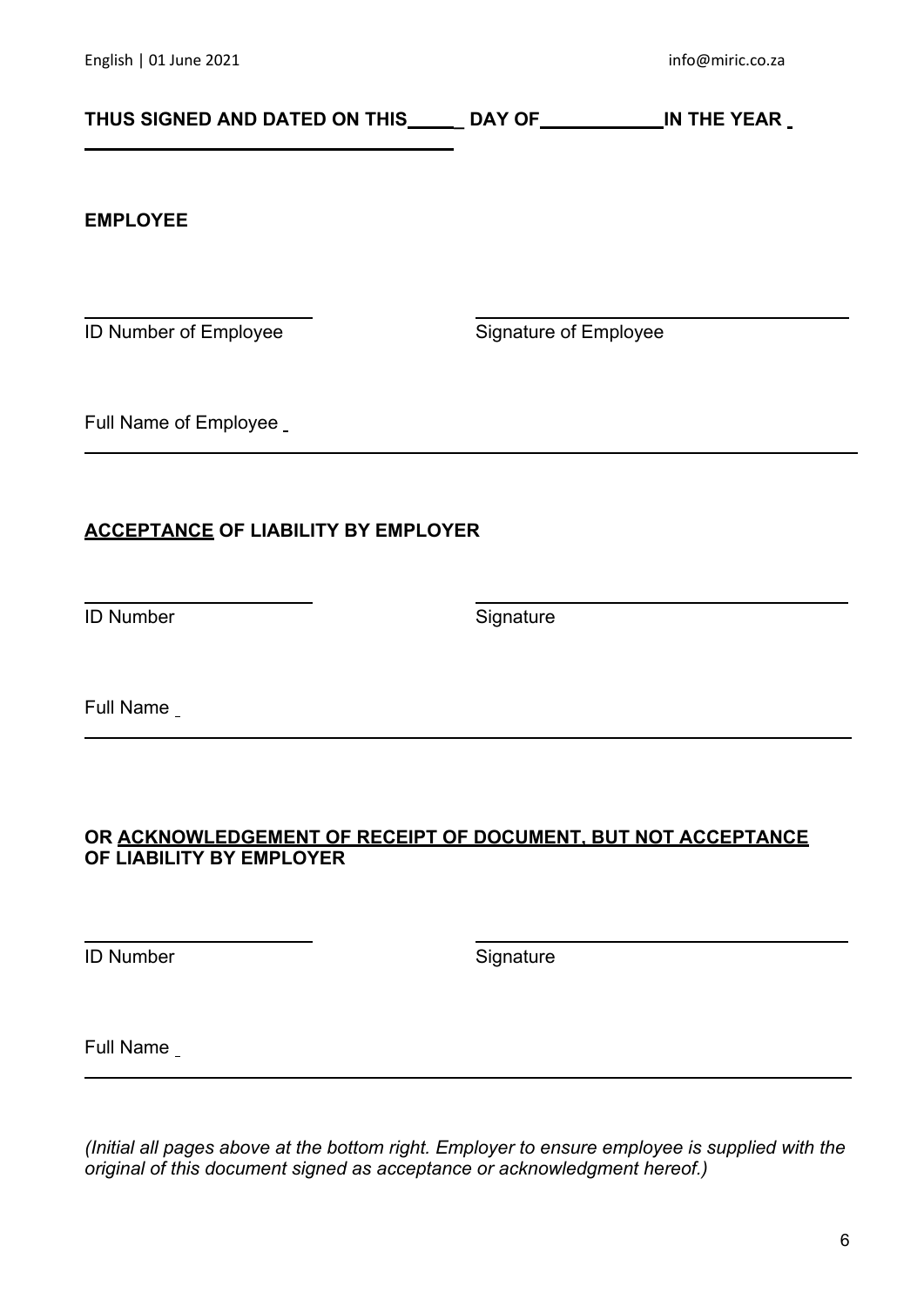# THUS SIGNED AND DATED ON THIS \_\_\_\_\_ DAY OF \_\_\_\_\_\_\_\_\_\_\_\_\_\_IN THE YEAR \_

#### **EMPLOYEE**

ID Number of Employee Signature of Employee

Full Name of Employee

## **ACCEPTANCE OF LIABILITY BY EMPLOYER**

ID Number Signature

Full Name

## **OR ACKNOWLEDGEMENT OF RECEIPT OF DOCUMENT, BUT NOT ACCEPTANCE OF LIABILITY BY EMPLOYER**

ID Number Signature

Full Name

*(Initial all pages above at the bottom right. Employer to ensure employee is supplied with the original of this document signed as acceptance or acknowledgment hereof.)*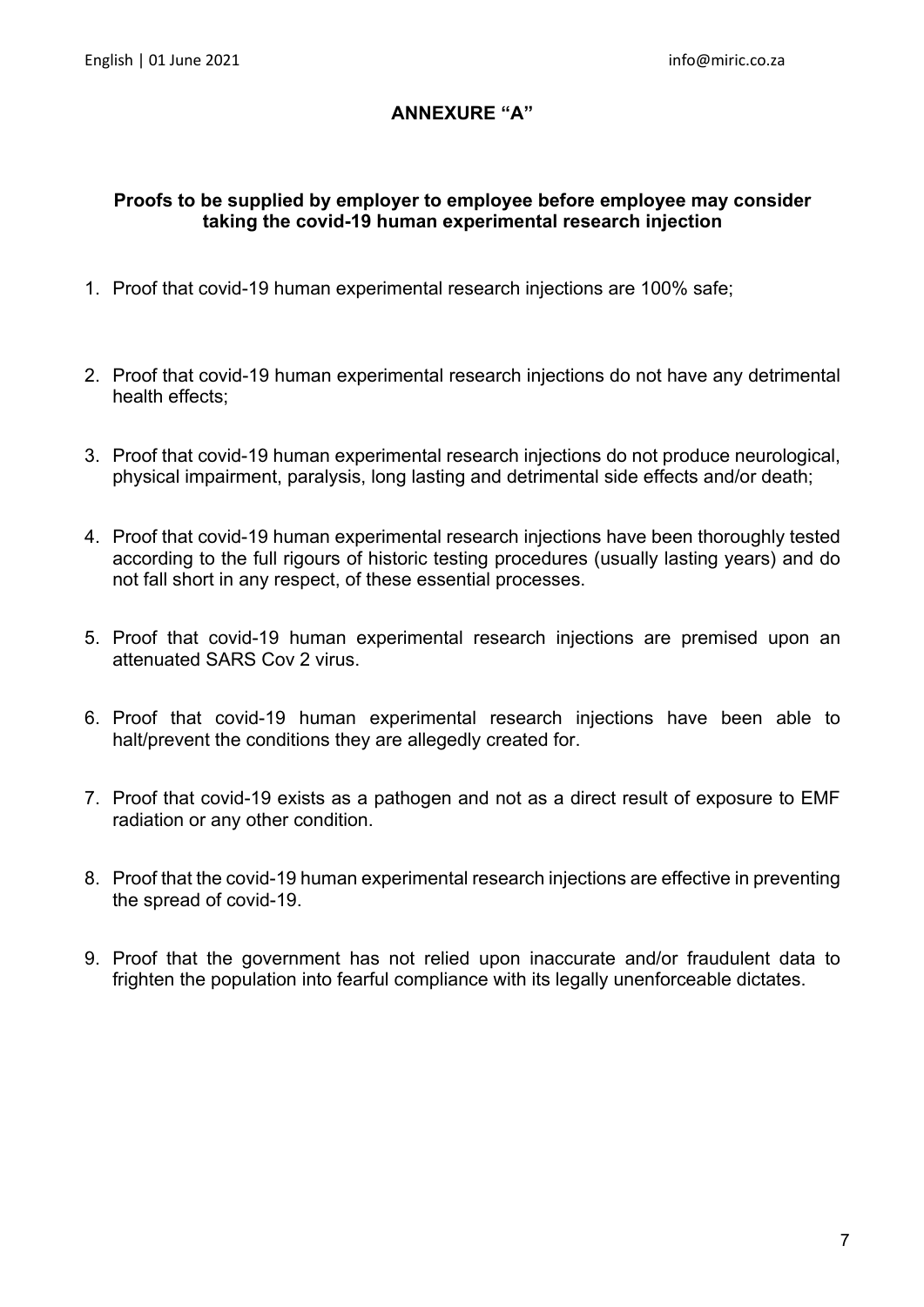## **ANNEXURE "A"**

## **Proofs to be supplied by employer to employee before employee may consider taking the covid-19 human experimental research injection**

- 1. Proof that covid-19 human experimental research injections are 100% safe;
- 2. Proof that covid-19 human experimental research injections do not have any detrimental health effects;
- 3. Proof that covid-19 human experimental research injections do not produce neurological, physical impairment, paralysis, long lasting and detrimental side effects and/or death;
- 4. Proof that covid-19 human experimental research injections have been thoroughly tested according to the full rigours of historic testing procedures (usually lasting years) and do not fall short in any respect, of these essential processes.
- 5. Proof that covid-19 human experimental research injections are premised upon an attenuated SARS Cov 2 virus.
- 6. Proof that covid-19 human experimental research injections have been able to halt/prevent the conditions they are allegedly created for.
- 7. Proof that covid-19 exists as a pathogen and not as a direct result of exposure to EMF radiation or any other condition.
- 8. Proof that the covid-19 human experimental research injections are effective in preventing the spread of covid-19.
- 9. Proof that the government has not relied upon inaccurate and/or fraudulent data to frighten the population into fearful compliance with its legally unenforceable dictates.